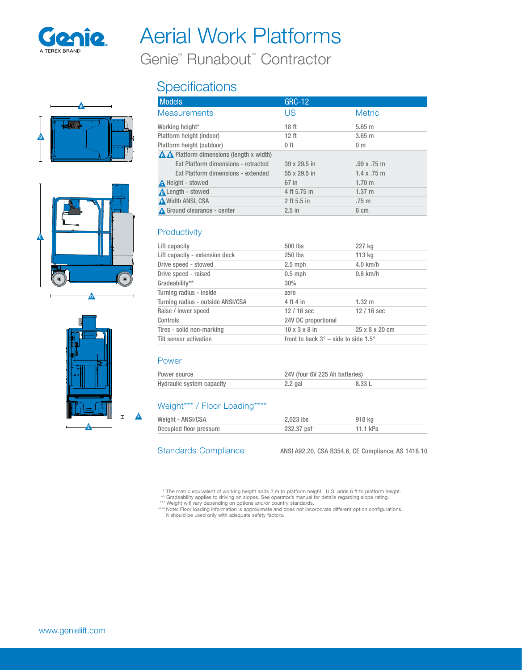

# Aerial Work Platforms

Genie® Runabout™ Contractor

## A 刃 B



D



### **Specifications**

| <b>Models</b>                                   | GRC-12       |                    |
|-------------------------------------------------|--------------|--------------------|
| <b>Measurements</b>                             | US           | <b>Metric</b>      |
| Working height*                                 | 18 ft        | 5.65 m             |
| Platform height (indoor)                        | $12$ ft      | $3.65$ m           |
| Platform height (outdoor)                       | $0$ ft       | 0 <sub>m</sub>     |
| <b>A A</b> Platform dimensions (length x width) |              |                    |
| Ext Platform dimensions - retracted             | 39 x 29.5 in | .99x.75m           |
| Ext Platform dimensions - extended              | 55 x 29.5 in | $1.4 \times .75$ m |
| A Height - stowed                               | 67 in        | $1.70 \;{\rm m}$   |
| <b>A</b> Length - stowed                        | 4 ft 5.75 in | $1.37 \; m$        |
| <b>A</b> Width ANSI, CSA                        | 2 ft 5.5 in  | $.75 \text{ m}$    |
| <b>A</b> Ground clearance - center              | $2.5$ in     | 6 cm               |

#### **Productivity**

| Lift capacity                     | 500 lbs                   | 227 kg                                              |  |
|-----------------------------------|---------------------------|-----------------------------------------------------|--|
| Lift capacity - extension deck    | 250 lbs                   | 113 kg                                              |  |
| Drive speed - stowed              | $2.5$ mph                 | $4.0$ km/h                                          |  |
| Drive speed - raised              | $0.5$ mph                 | $0.8$ km/h                                          |  |
| Gradeability**                    | 30%                       |                                                     |  |
| Turning radius - inside           | zero                      |                                                     |  |
| Turning radius - outside ANSI/CSA | 4 ft 4 in                 | $1.32 \; m$                                         |  |
| Raise / lower speed               | $12/16$ sec               | $12/16$ sec                                         |  |
| Controls                          | 24V DC proportional       |                                                     |  |
| Tires - solid non-marking         | $10 \times 3 \times 8$ in | 25 x 8 x 20 cm                                      |  |
| <b>Tilt sensor activation</b>     |                           | front to back $3^\circ$ – side to side 1.5 $^\circ$ |  |
|                                   |                           |                                                     |  |

#### Power

| Power source              | 24V (four 6V 225 Ah batteries) |        |
|---------------------------|--------------------------------|--------|
| Hydraulic system capacity | $2.2$ gal                      | 8.33 L |

#### Weight\*\*\* / Floor Loading\*\*\*\*

| Weight - ANSI/CSA       | 2.023 lbs  | 918 ka   |
|-------------------------|------------|----------|
| Occupied floor pressure | 232.37 psf | 11.1 kPa |

Standards Compliance ANSI A92.20, CSA B354.6, CE Compliance, AS 1418.10

\* The metric equivalent of working height adds 2 m to platform height. U.S. adds 6 ft to platform height.<br>\*\* Gradeability applies to driving on slopes. See operator's manual for details regarding slope rating.<br>\*\*\* Weight w